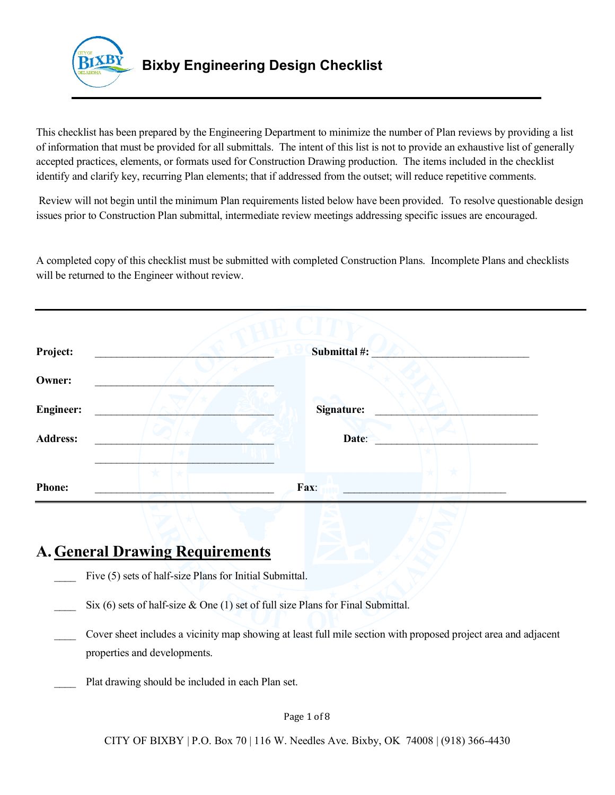

 This checklist has been prepared by the Engineering Department to minimize the number of Plan reviews by providing a list of information that must be provided for all submittals. The intent of this list is not to provide an exhaustive list of generally accepted practices, elements, or formats used for Construction Drawing production. The items included in the checklist identify and clarify key, recurring Plan elements; that if addressed from the outset; will reduce repetitive comments.

 Review will not begin until the minimum Plan requirements listed below have been provided. To resolve questionable design issues prior to Construction Plan submittal, intermediate review meetings addressing specific issues are encouraged.

 A completed copy of this checklist must be submitted with completed Construction Plans. Incomplete Plans and checklists will be returned to the Engineer without review.

| Project:         | Submittal #:      |
|------------------|-------------------|
| Owner:           |                   |
| <b>Engineer:</b> | <b>Signature:</b> |
| <b>Address:</b>  | Date:             |
|                  |                   |
| <b>Phone:</b>    | Fax:              |

## **A. General Drawing Requirements**

- Five (5) sets of half-size Plans for Initial Submittal.
- $\sum$  Six (6) sets of half-size & One (1) set of full size Plans for Final Submittal.
- \_\_\_\_ Cover sheet includes a vicinity map showing at least full mile section with proposed project area and adjacent properties and developments.
- **EXECUTE:** Plat drawing should be included in each Plan set.

#### Page 1 of 8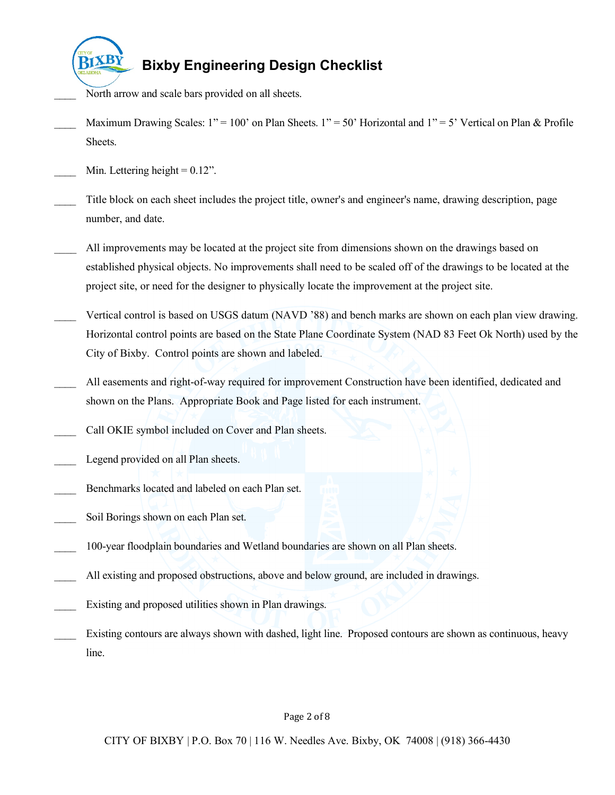

- \_\_\_\_ North arrow and scale bars provided on all sheets.
- Maximum Drawing Scales:  $1" = 100'$  on Plan Sheets.  $1" = 50'$  Horizontal and  $1" = 5'$  Vertical on Plan & Profile Sheets.
- $\mu$  Min. Lettering height = 0.12".
- \_\_\_\_ Title block on each sheet includes the project title, owner's and engineer's name, drawing description, page number, and date.
- All improvements may be located at the project site from dimensions shown on the drawings based on established physical objects. No improvements shall need to be scaled off of the drawings to be located at the project site, or need for the designer to physically locate the improvement at the project site.
- \_\_\_\_ Vertical control is based on USGS datum (NAVD '88) and bench marks are shown on each plan view drawing. Horizontal control points are based on the State Plane Coordinate System (NAD 83 Feet Ok North) used by the City of Bixby. Control points are shown and labeled.
- All easements and right-of-way required for improvement Construction have been identified, dedicated and shown on the Plans. Appropriate Book and Page listed for each instrument.
- \_\_\_\_ Call OKIE symbol included on Cover and Plan sheets.
- Legend provided on all Plan sheets.
- **EXECUTE:** Benchmarks located and labeled on each Plan set.
- \_\_\_\_ Soil Borings shown on each Plan set.
- 100-year floodplain boundaries and Wetland boundaries are shown on all Plan sheets.
- All existing and proposed obstructions, above and below ground, are included in drawings.
- **Existing and proposed utilities shown in Plan drawings.**
- \_\_\_\_ Existing contours are always shown with dashed, light line. Proposed contours are shown as continuous, heavy line.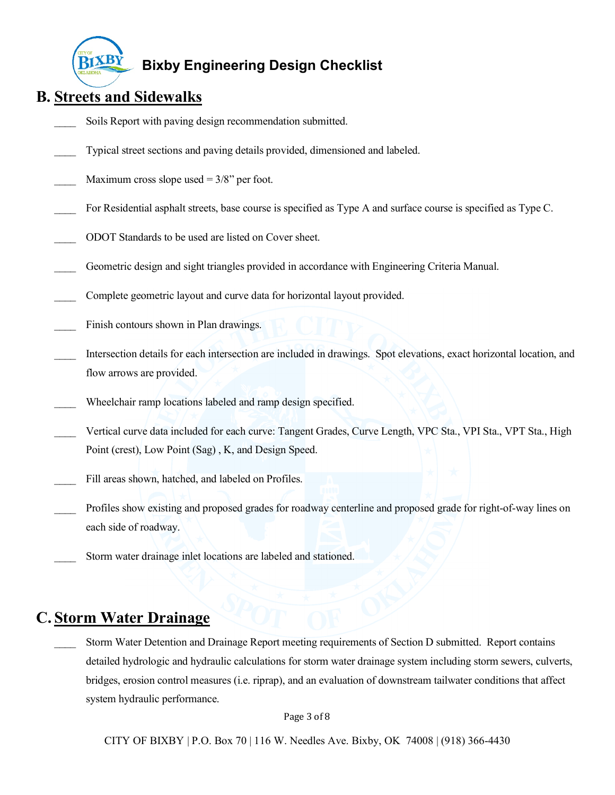

## **B. Streets and Sidewalks**

- Soils Report with paving design recommendation submitted.
- \_\_\_\_ Typical street sections and paving details provided, dimensioned and labeled.
- Maximum cross slope used  $= 3/8$ " per foot.
- \_\_\_\_ For Residential asphalt streets, base course is specified as Type A and surface course is specified as Type C.
- \_\_\_\_ ODOT Standards to be used are listed on Cover sheet.
- \_\_\_\_ Geometric design and sight triangles provided in accordance with Engineering Criteria Manual.
- \_\_\_\_ Complete geometric layout and curve data for horizontal layout provided.
- \_\_\_\_ Finish contours shown in Plan drawings.
- \_\_\_\_ Intersection details for each intersection are included in drawings. Spot elevations, exact horizontal location, and flow arrows are provided.
- Wheelchair ramp locations labeled and ramp design specified.
- \_\_\_\_ Vertical curve data included for each curve: Tangent Grades, Curve Length, VPC Sta., VPI Sta., VPT Sta., High Point (crest), Low Point (Sag) , K, and Design Speed.
- \_\_\_\_ Fill areas shown, hatched, and labeled on Profiles.
- \_\_\_\_ Profiles show existing and proposed grades for roadway centerline and proposed grade for right-of-way lines on each side of roadway.
- \_\_\_\_ Storm water drainage inlet locations are labeled and stationed.

## **C. Storm Water Drainage**

Storm Water Detention and Drainage Report meeting requirements of Section D submitted. Report contains detailed hydrologic and hydraulic calculations for storm water drainage system including storm sewers, culverts, bridges, erosion control measures (i.e. riprap), and an evaluation of downstream tailwater conditions that affect system hydraulic performance.

Page 3 of 8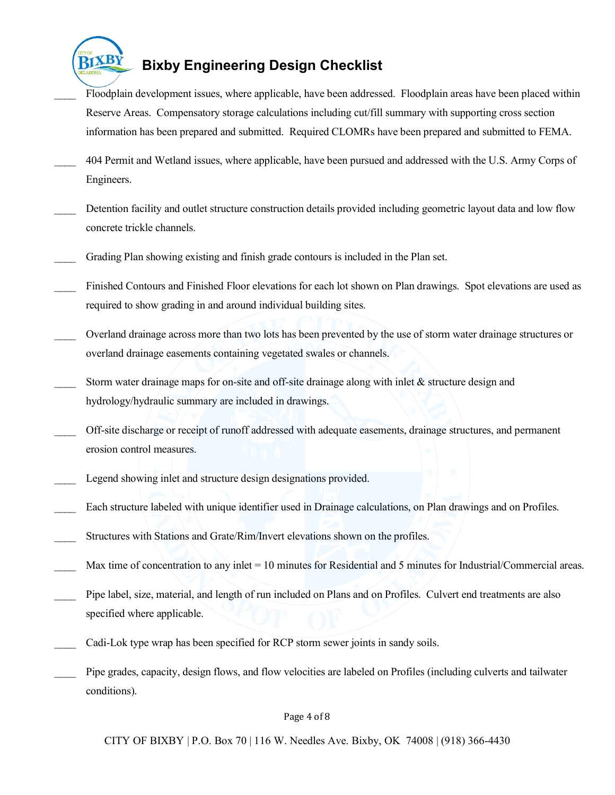

- \_\_\_\_ Floodplain development issues, where applicable, have been addressed. Floodplain areas have been placed within Reserve Areas. Compensatory storage calculations including cut/fill summary with supporting cross section information has been prepared and submitted. Required CLOMRs have been prepared and submitted to FEMA.
- 404 Permit and Wetland issues, where applicable, have been pursued and addressed with the U.S. Army Corps of Engineers.
- Detention facility and outlet structure construction details provided including geometric layout data and low flow concrete trickle channels.
- \_\_\_\_ Grading Plan showing existing and finish grade contours is included in the Plan set.
- \_\_\_\_ Finished Contours and Finished Floor elevations for each lot shown on Plan drawings. Spot elevations are used as required to show grading in and around individual building sites.
- \_\_\_\_ Overland drainage across more than two lots has been prevented by the use of storm water drainage structures or overland drainage easements containing vegetated swales or channels.
- Storm water drainage maps for on-site and off-site drainage along with inlet & structure design and hydrology/hydraulic summary are included in drawings.
- \_\_\_\_ Off-site discharge or receipt of runoff addressed with adequate easements, drainage structures, and permanent erosion control measures.
- Legend showing inlet and structure design designations provided.
- \_\_\_\_ Each structure labeled with unique identifier used in Drainage calculations, on Plan drawings and on Profiles.
- \_\_\_\_ Structures with Stations and Grate/Rim/Invert elevations shown on the profiles.
- $\mu$  Max time of concentration to any inlet = 10 minutes for Residential and 5 minutes for Industrial/Commercial areas.
- Pipe label, size, material, and length of run included on Plans and on Profiles. Culvert end treatments are also specified where applicable.
- \_\_\_\_ Cadi-Lok type wrap has been specified for RCP storm sewer joints in sandy soils.
- \_\_\_\_ Pipe grades, capacity, design flows, and flow velocities are labeled on Profiles (including culverts and tailwater conditions).

#### Page 4 of 8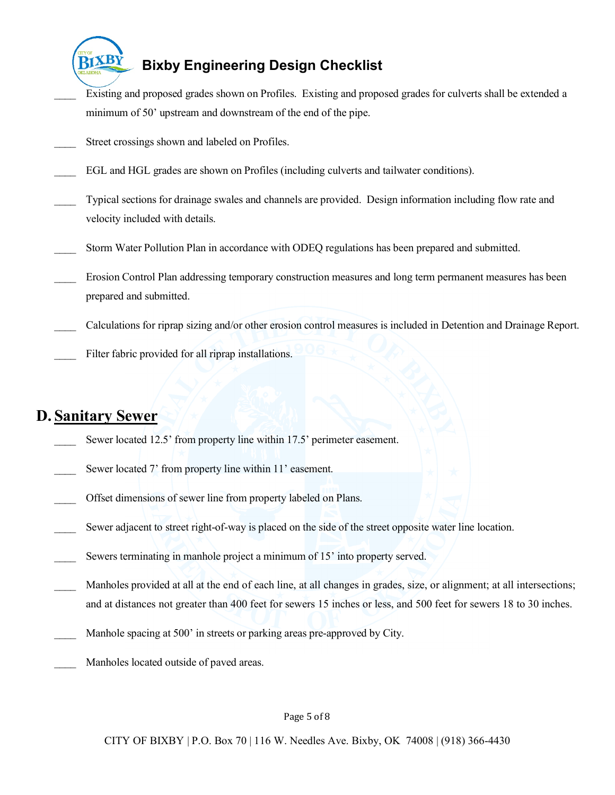

- Existing and proposed grades shown on Profiles. Existing and proposed grades for culverts shall be extended a minimum of 50' upstream and downstream of the end of the pipe.  $\overline{\phantom{a}}$
- **EXECUTE:** Street crossings shown and labeled on Profiles.
- EGL and HGL grades are shown on Profiles (including culverts and tailwater conditions).
- \_\_\_\_ Typical sections for drainage swales and channels are provided. Design information including flow rate and velocity included with details.
- Storm Water Pollution Plan in accordance with ODEQ regulations has been prepared and submitted.
- \_\_\_\_ Erosion Control Plan addressing temporary construction measures and long term permanent measures has been prepared and submitted.
- \_\_\_\_ Calculations for riprap sizing and/or other erosion control measures is included in Detention and Drainage Report.
- \_\_\_\_ Filter fabric provided for all riprap installations.

## **D. Sanitary Sewer**

- Sewer located 12.5' from property line within 17.5' perimeter easement.
- Sewer located 7' from property line within 11' easement.
- Offset dimensions of sewer line from property labeled on Plans.
- Sewer adjacent to street right-of-way is placed on the side of the street opposite water line location.
- Sewers terminating in manhole project a minimum of 15' into property served.
- \_\_\_\_ Manholes provided at all at the end of each line, at all changes in grades, size, or alignment; at all intersections; and at distances not greater than 400 feet for sewers 15 inches or less, and 500 feet for sewers 18 to 30 inches.
- Manhole spacing at 500' in streets or parking areas pre-approved by City.
- Manholes located outside of paved areas.

#### Page 5 of 8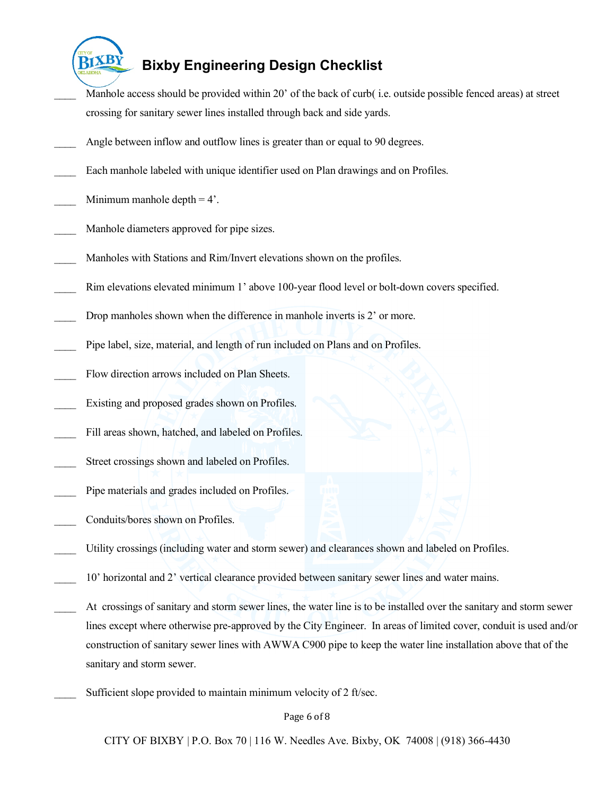

- crossing for sanitary sewer lines installed through back and side yards. Manhole access should be provided within 20' of the back of curb( i.e. outside possible fenced areas) at street
- Angle between inflow and outflow lines is greater than or equal to 90 degrees.
- **Each manhole labeled with unique identifier used on Plan drawings and on Profiles.**
- Minimum manhole depth  $= 4'$ .
- Manhole diameters approved for pipe sizes.
- Manholes with Stations and Rim/Invert elevations shown on the profiles.
- Rim elevations elevated minimum 1' above 100-year flood level or bolt-down covers specified.
- Drop manholes shown when the difference in manhole inverts is 2' or more.
- **EXECUTE:** Pipe label, size, material, and length of run included on Plans and on Profiles.
- \_\_\_\_ Flow direction arrows included on Plan Sheets.
- **Existing and proposed grades shown on Profiles.**
- \_\_\_\_ Fill areas shown, hatched, and labeled on Profiles.
- **EXECUTE:** Street crossings shown and labeled on Profiles.
- **EXECUTE:** Pipe materials and grades included on Profiles.
- Conduits/bores shown on Profiles.
- \_\_\_\_ Utility crossings (including water and storm sewer) and clearances shown and labeled on Profiles.
- 10' horizontal and 2' vertical clearance provided between sanitary sewer lines and water mains.
- At crossings of sanitary and storm sewer lines, the water line is to be installed over the sanitary and storm sewer lines except where otherwise pre-approved by the City Engineer. In areas of limited cover, conduit is used and/or construction of sanitary sewer lines with AWWA C900 pipe to keep the water line installation above that of the sanitary and storm sewer.
- Sufficient slope provided to maintain minimum velocity of 2 ft/sec.

Page 6 of 8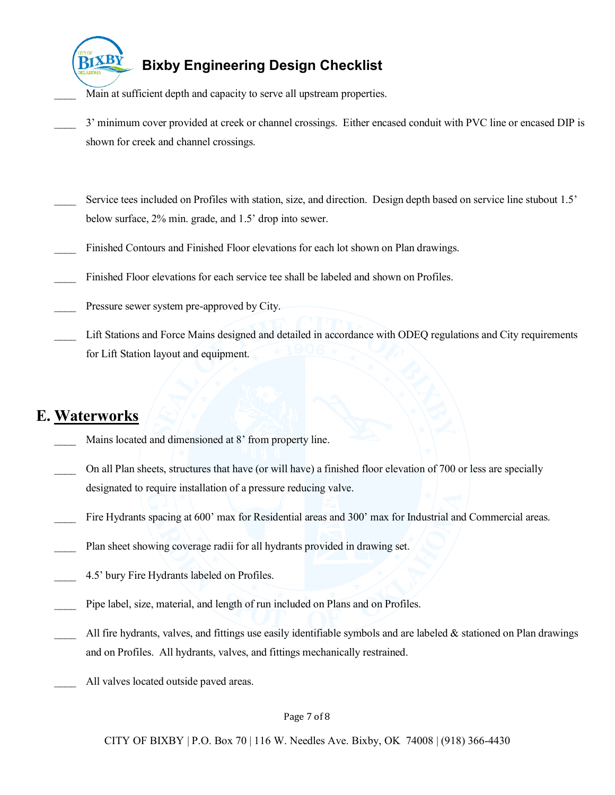

 $\overline{\phantom{a}}$ 

# **Bixby Engineering Design Checklist**

Main at sufficient depth and capacity to serve all upstream properties.

- \_\_\_\_ 3' minimum cover provided at creek or channel crossings. Either encased conduit with PVC line or encased DIP is shown for creek and channel crossings.
- Service tees included on Profiles with station, size, and direction. Design depth based on service line stubout 1.5' below surface, 2% min. grade, and 1.5' drop into sewer.
- \_\_\_\_ Finished Contours and Finished Floor elevations for each lot shown on Plan drawings.
- \_\_\_\_ Finished Floor elevations for each service tee shall be labeled and shown on Profiles.
- Pressure sewer system pre-approved by City.
- \_\_\_\_ Lift Stations and Force Mains designed and detailed in accordance with ODEQ regulations and City requirements for Lift Station layout and equipment.

## **E. Waterworks**

- Mains located and dimensioned at 8' from property line.
- \_\_\_\_ On all Plan sheets, structures that have (or will have) a finished floor elevation of 700 or less are specially designated to require installation of a pressure reducing valve.
- \_\_\_\_ Fire Hydrants spacing at 600' max for Residential areas and 300' max for Industrial and Commercial areas.
- Plan sheet showing coverage radii for all hydrants provided in drawing set.
- 4.5' bury Fire Hydrants labeled on Profiles.
- \_\_\_\_ Pipe label, size, material, and length of run included on Plans and on Profiles.
- All fire hydrants, valves, and fittings use easily identifiable symbols and are labeled  $\&$  stationed on Plan drawings and on Profiles. All hydrants, valves, and fittings mechanically restrained.
- All valves located outside paved areas.

Page 7 of 8